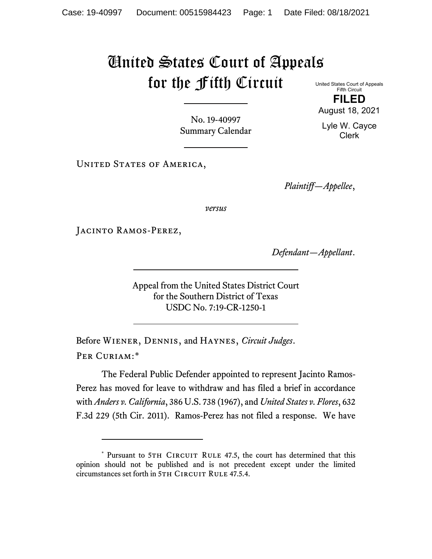## United States Court of Appeals for the Fifth Circuit United States Court of Appeals

Fifth Circuit **FILED**

No. 19-40997 Summary Calendar

UNITED STATES OF AMERICA,

*Plaintiff—Appellee*,

*versus*

Jacinto Ramos-Perez,

*Defendant—Appellant*.

Appeal from the United States District Court for the Southern District of Texas USDC No. 7:19-CR-1250-1

Before Wiener, Dennis, and Haynes, *Circuit Judges*. Per Curiam:[\\*](#page-0-0)

The Federal Public Defender appointed to represent Jacinto Ramos-Perez has moved for leave to withdraw and has filed a brief in accordance with *Anders v. California*, 386 U.S. 738 (1967), and *United States v. Flores*, 632 F.3d 229 (5th Cir. 2011). Ramos-Perez has not filed a response. We have

August 18, 2021 Lyle W. Cayce

Clerk

<span id="page-0-0"></span><sup>\*</sup> Pursuant to 5TH CIRCUIT RULE 47.5, the court has determined that this opinion should not be published and is not precedent except under the limited circumstances set forth in 5TH CIRCUIT RULE 47.5.4.